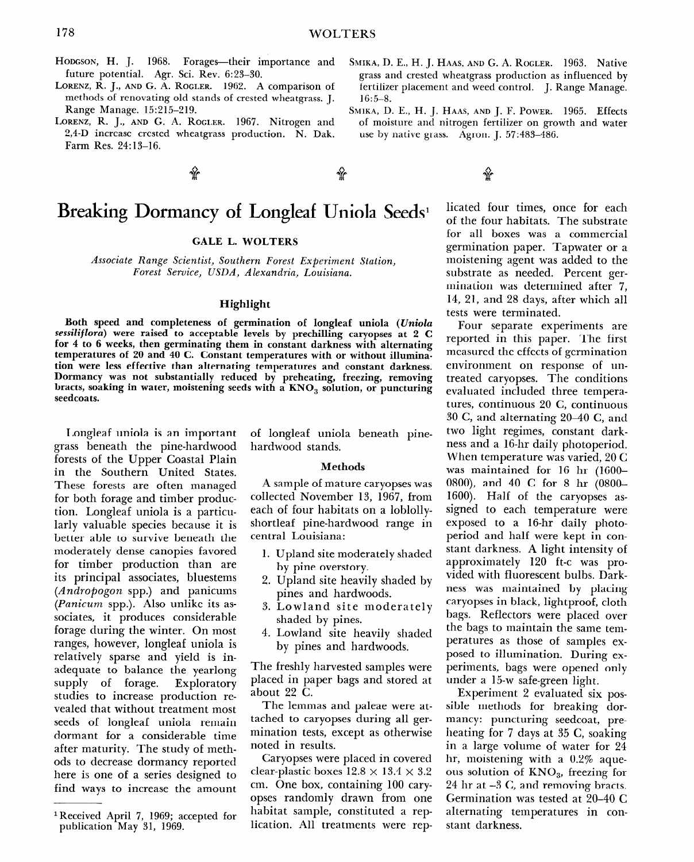# **Breaking Dormancy of Longleaf Uniola Seeds**<sup>1</sup>

**GALE L. WOLTERS** 

*14ssociate* Range *Scientist, Southern Forest Experiment Station, Forest Service, USDA, Alexandria, Louisiana.* 

## **Highlight**

**Both speed and completeness of germination of longleaf uniola** *(Uniola sessiliflora)* **were raised to acceptable levels by prechilling caryopses at 2 C for 4 to 6 weeks, then germinating them in constant darkness with alternating temperatures of 20 and** 40 C. **Constant temperatures with or without illumination were less effective than alternating temperatures and constant darkness. Dormancy was not substantially reduced by preheating, freezing, removing**  bracts, soaking in water, moistening seeds with a KNO<sub>3</sub> solution, or puncturing **seedcoats.** 

**Longleaf uniola is an important grass beneath the pine-hardwood forests of the Upper Coastal Plain in the Southern United States. These forests are often managed for both forage and timber production. Longleaf uniola is a particularly valuable species because it is better able to survive beneath the moderately dense canopies favored for timber production than are its principal associates, bluestems**  *(Andropogon* spp.) **and panicums**  *(Panicunz* spp.). Also unlike its associates, it produces considerable forage during the winter. On most ranges, however, longleaf uniola is relatively sparse and yield **is inadequate to balance the yearlong**  supply of forage. Exploratory studies to increase production revealed that without treatment most seed of longleaf unioned the most  $\frac{d}{dt}$  or tongical amone remain dormant for a considerable time<br>after maturity. The study of methance maturity. The study of meth here is one of a series of the series of the series of the series of the series of the series of the series of here is one of a series designed to<br>find ways to increase the amount of longleaf uniola beneath pinehardwood stands.

### Methods

A sample of mature caryopses was collected November 13, 1967, from each of four habitats on a loblollyshortleaf pine-hardwood range in central Louisiana:

- Upland site moderately shaded by pine overstory.
- Upland site heavily shaded by pines and hardwoods.
- Lowland site moderately shaded by pines.
- Lowland site heavily shaded by pines and hardwoods.

The freshly harvested samples were placed in paper bagged in paper bagged at the store design at the store design of the store design at the store of the store of the store of the store of the store of the store of the store of the store of the store of the  $\frac{1}{2}$   $\frac{1}{2}$   $\frac{1}{2}$   $\frac{1}{2}$   $\frac{1}{2}$   $\frac{1}{2}$   $\frac{1}{2}$   $\frac{1}{2}$   $\frac{1}{2}$   $\frac{1}{2}$   $\frac{1}{2}$   $\frac{1}{2}$   $\frac{1}{2}$   $\frac{1}{2}$   $\frac{1}{2}$   $\frac{1}{2}$   $\frac{1}{2}$   $\frac{1}{2}$   $\frac{1}{2}$   $\frac{1}{2}$   $\frac{1}{2}$   $\frac{1}{2}$   $T_{\text{t}}$  is an and paleae were at-

 $\frac{1}{2}$  the temmas and parcac were all tached to caryopses during all germination tests, except as otherwise<br>noted in results.  $\alpha$  in counts.

caryopses were placed in covered clear-plastic boxes  $12.8 \times 13.4 \times 3.2$ cm. One box, containing 100 caryopses randomly drawn from one habitat sample, constituted a rep-<br>lication. All treatments were rep-

licated four times, once for each of the four habitats. The substrate for all boxes was a commercial germination paper. Tapwater or a moistening agent was added to the substrate as needed. Percent germination was determined after 7, 14, 21, and 28 days, after which all tests were terminated.

Four separate experiments are reported in this paper. The first measured the effects of germination environment on response of untreated caryopses. The conditions evaluated included three temperatures, continuous 20 C, continuous 30 C, and alternating 20-40 C, and two light regimes, constant darkness and a 16.hr daily photoperiod. When temperature was varied, 20 C was maintained for 16 hr (1600- OSOO), and 40 C for 8 hr (OSOO-1600). Half of the caryopses assigned to each temperature were exposed to a 16.hr daily photoperiod and half were kept in constant darkness. A light intensity of approximately 120 ft-c was provided with fluorescent bulbs. Darkness was maintained by placing caryopses in black, lightproof, cloth bags. Reflectors were placed over bags. Teneriors were placed over ene sags to mannam the same temperatures as those of samples exposed to illumination. During experiments, bags were opened only<br>under a 15-w safe-green light.

 $\frac{1}{2}$  a 15-w sategreen ngm.  $\frac{1}{2}$  Experiment  $\frac{2}{3}$  Cyanaareu six pos sible methods for breaking dormancy: puncturing seedcoat, preheating for 7 days at 35 C, soaking in a large volume of water for 24. hr, moistening with a  $0.2\%$  aqueous solution of  $KNO_3$ , freezing for 24 hr at  $-3$  C, and removing bracts. Germination was tested at  $20-40$  C alternating temperatures in constant darkness.

 $\overline{\hspace{1em}}$ Received April 7, 1969; ao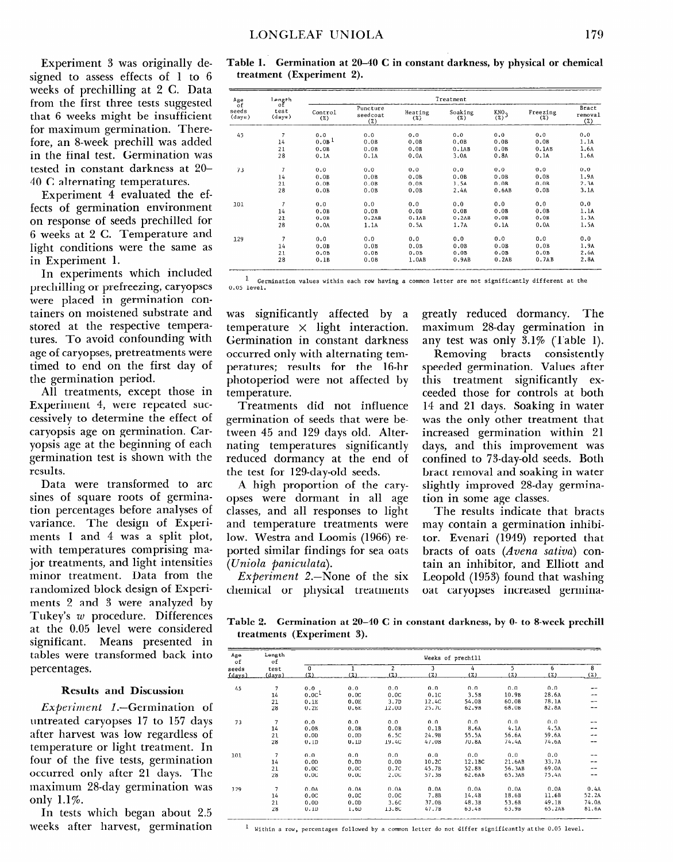Experiment 3 was originally designed to assess effects of 1 to 6 weeks of prechilling at 2 C. Data from the first three tests suggested that 6 weeks might be insufficient for maximum germination. Therefore, an S-week prechill was added in the final test. Germination was tested in constant darkness at ZO-40 C alternating temperatures.

Experiment 4 evaluated the effects of germination environment on response of seeds prechilled for 6 weeks at 2 C. Temperature and light conditions were the same as in Experiment 1.

In experiments which included prechilling or prefreezing, caryopses were placed in germination containers on moistened substrate and stored at the respective temperatures. To avoid confounding with age of caryopses, pretreatments were timed to end on the first day of the germination period.

All treatments, except those in Experiment 4, were repeated successively to determine the effect of caryopsis age on germination. Caryopsis age at the beginning of each germination test is shown with the results.

Data were transformed to arc sines of square roots of germination percentages before analyses of variance. The design of Experiments 1 and 4 was a split plot, with temperatures comprising major treatments, and light intensities minor treatment. Data from the randomized block design of Experiments 2 and 3 were analyzed by  $T_1$ , and  $T_2$  were analyzed been rake *q* of the decement were considered at the 0.00 fever were considered tables weaps presenced in tables were transformed back into<br>percentages.

## Results and Discussion

ExPeriment I.-Germination of  $expernmen = 1. - getmanation$ untreated caryopses 17 to 157 days after harvest was low regardless of temperature or light treatment. In four of the five tests, germination occurred only after 21 days. The maximum 28-day germination was only  $1.1\%$ .

In tests which began about 2.5 weeks after harvest, germination

| Table 1. Germination at 20-40 C in constant darkness, by physical or chemical |  |  |  |  |
|-------------------------------------------------------------------------------|--|--|--|--|
| treatment (Experiment 2).                                                     |  |  |  |  |

| Age                            | Length                   | Treatment         |                                |                |                |                         |                 |                         |  |  |
|--------------------------------|--------------------------|-------------------|--------------------------------|----------------|----------------|-------------------------|-----------------|-------------------------|--|--|
| of<br>seeds<br>$_{\rm (days)}$ | οf<br>test<br>(days)     | Control<br>(%)    | Puncture<br>seedcoat<br>$(\%)$ | Heating<br>(%) | Soaking<br>(%) | KNO <sub>2</sub><br>(%) | Freezing<br>(%) | Bract<br>removal<br>(%) |  |  |
| 45                             | $\overline{7}$           | 0.0               | 0.0                            | 0.0            | 0.0            | 0.0                     | 0.0             | 0.0                     |  |  |
|                                | 14                       | 0.0B <sup>1</sup> | 0.0B                           | 0.0B           | 0.0B           | 0.0B                    | 0.0B            | 1.1A                    |  |  |
|                                | 21                       | 0.0B              | 0.0B                           | 0.0B           | 0.1AB          | 0.0B                    | 0.1AB           | 1.6A                    |  |  |
|                                | 28                       | 0.1A              | 0.1A                           | 0.0A           | 3.0A           | 0.8A                    | 0.1A            | 1.6A                    |  |  |
|                                |                          |                   |                                |                |                |                         |                 |                         |  |  |
| 73                             | $\overline{7}$           | 0.0               | 0.0                            | 0.0            | 0.0            | 0.0                     | 0.0             | 0.0                     |  |  |
|                                | 14                       | 0.0B              | 0.0B                           | 0.0B           | 0.0B           | 0.0B                    | 0.0B            | 1.9A                    |  |  |
|                                | 21                       | 0.0B              | 0.0B                           | 0.0B           | 1.5A           | 0.0B                    | 0.0B            | 2.3A                    |  |  |
|                                | 28                       | 0.0B              | 0.0B                           | 0.0B           | 2.4A           | 0.6AB                   | 0.0B            | 3.1A                    |  |  |
| 101                            | $\overline{\phantom{a}}$ | 0.0               | 0.0                            | 0.0            | 0.0            | 0.0                     | 0.0             | 0.0                     |  |  |
|                                | 14                       | 0.0B              | 0.0B                           | 0.0B           | 0.0B           | 0.0B                    | 0.0B            | 1.1A                    |  |  |
|                                | 21                       | 0.0B              | 0.2AB                          | 0.1AB          | 0.2AB          | 0.0B                    | 0.0B            | 1.3A                    |  |  |
|                                | 28                       | 0.0A              | 1.1A                           | 0.5A           | 1.7A           | 0.1A                    | 0.0A            | 1.5A                    |  |  |
| 129                            | $\overline{7}$           | 0.0               | 0.0                            | 0.0            | 0.0            | 0.0                     | 0.0             | 0.0                     |  |  |
|                                | 14                       | 0.0B              | 0.0B                           | 0.0B           | 0.0B           | 0.0B                    | 0.0B            | 1.9A                    |  |  |
|                                |                          |                   |                                |                |                |                         |                 |                         |  |  |
|                                | 21                       | 0.0B              | 0.0B                           | 0.0B           | 0.0B           | 0.0B                    | 0.0B            | 2.6A                    |  |  |
|                                | 28                       | 0.1B              | 0.0B                           | 1.0AB          | 0.9AB          | 0.2AB                   | 0.7AB           | 2.8A                    |  |  |

 $1$  Germination values within each row having a common letter are not significantly different at the 0.05 level.

temperature **x** light interaction. maximum 2%day germination in Germination in constant darkness any test was only 3.1% (Table 1). occurred only with alternating tem- Removing bracts consistently peratures; results for the 16-hr speeded germination. Values after photoperiod were not affected by this treatment significantly extemperature. ceeded those for controls at both

germination of seeds that were be- was the only other treatment that tween 45 and 129 days old. Alter- increased germination within 21 nating temperatures significantly days, and this improvement was reduced dormancy at the end of confined to 73-day-old seeds. Both the test for 129-day-old seeds. bract removal and soaking in water

opses were dormant in all age tion in some age classes.  $\epsilon$  classes, and all responses to light. The results indicate that bracts classes  $\alpha$  and temperature treatments were may contain a germination inhibiand temperature treatments were may contain a germination inhibi-<br>low. Westra and Loomis (1966) re- tor. Evenari (1949) reported that ported similar findings for sea oats bracts of oats *(Arena sativa)* con- *(Uniola panicdata).* tain an inhibitor, and Elliott and

*Experiment 2.*-None of the six

was significantly affected by a greatly reduced dormancy. The

Treatments did not influence 14 and 21 days. Soaking in water A high proportion of the cary- slightly improved 2%day germina-

*Experiment* 2.—None of the six Leopold (1953) found that washing chemical or physical treatments oat caryopses increased germina-

**Table 2. Germination at 20-40 C in constant darkness, by 0- to 8-week prechill treatment of the set of the 3** 

| Age<br>of     | Length<br>of   | Weeks of prechill |                  |                  |       |        |        |        |                         |
|---------------|----------------|-------------------|------------------|------------------|-------|--------|--------|--------|-------------------------|
| seeds         | test           | $\Omega$          | 1                | $\overline{2}$   | 3     | 4      | 5      | 6      | $\overline{\mathbf{8}}$ |
| <u>(days)</u> | (days)         | (X)               | (X)              | (7)              | (7)   | (7)    | (7)    | (2)    | (%)                     |
| 45            | $\overline{7}$ | 0.0               | 0.0              | 0.0              | 0.0   | 0.0    | 0.0    | 0.0    | --                      |
|               | 14             | 0.0c <sup>1</sup> | 0.0C             | 0.0C             | 0.1C  | 3.5B   | 10.9B  | 28.6A  | --                      |
|               | 21             | 0.1E              | 0.0E             | 3.7D             | 12.4C | 54.08  | 60.0B  | 78.1A  | --                      |
|               | 28             | 0.2E              | 0.6E             | 12.00            | 25.7C | 62.9B  | 68.0B  | 82.8A  | --                      |
| 73            | 7              | 0.0               | 0.0              | 0.0              | 0.0   | 0.0    | 0.0    | 0.0    | --                      |
|               | 14             | 0.0B              | 0.0B             | 0.0B             | 0.1B  | 8.6A   | 4.1A   | 4.5A   | --                      |
|               | 21             | 0.0 <sub>D</sub>  | 0.0D             | 6.5C             | 24.9B | 55.5A  | 56.6A  | 59.6A  | --                      |
|               | 28             | 0.1D              | 0.1D             | 19.4C            | 47.0B | 70.8A  | 74.4A  | 74.6A  | --                      |
| 101           | $\overline{7}$ | 0.0               | 0.0              | 0.0              | 0.0   | 0.0    | 0.0    | 0.0    | --                      |
|               | 14             | 0.0 <sub>D</sub>  | 0.0D             | 0.0 <sub>D</sub> | 10.2C | 12.1BC | 21.6AB | 33.7A  | --                      |
|               | 21             | 0.0C              | 0.0C             | 0.7C             | 45.7B | 52.8B  | 56.3AB | 69.0A  | --                      |
|               | 28             | 0.0C              | 0.0C             | 2.0C             | 57.3B | 62.6AB | 65.3AB | 75.4A  | --                      |
| 129           | $\overline{7}$ | 0.0A              | 0.0A             | 0.0A             | 0.0A  | 0.0A   | 0.0A   | 0.0A   | 0.4A                    |
|               | 14             | 0.0C              | 0.0C             | 0.0C             | 7.8B  | 14.4B  | 18.6B  | 11.6B  | 52.2A                   |
|               | 21             | 0.0D              | 0.0 <sub>D</sub> | 3.6C             | 37.0B | 48.3B  | 53.6B  | 49.1B  | 74.0A                   |
|               | 28             | 0.1D              | 1.6D             | 13.8C            | 47.7B | 63.4B  | 63.9B  | 65.2AB | 81.6A                   |

 $1$  Within a row, percentages followed by a common letter do not differ significantly at the 0.05 level.